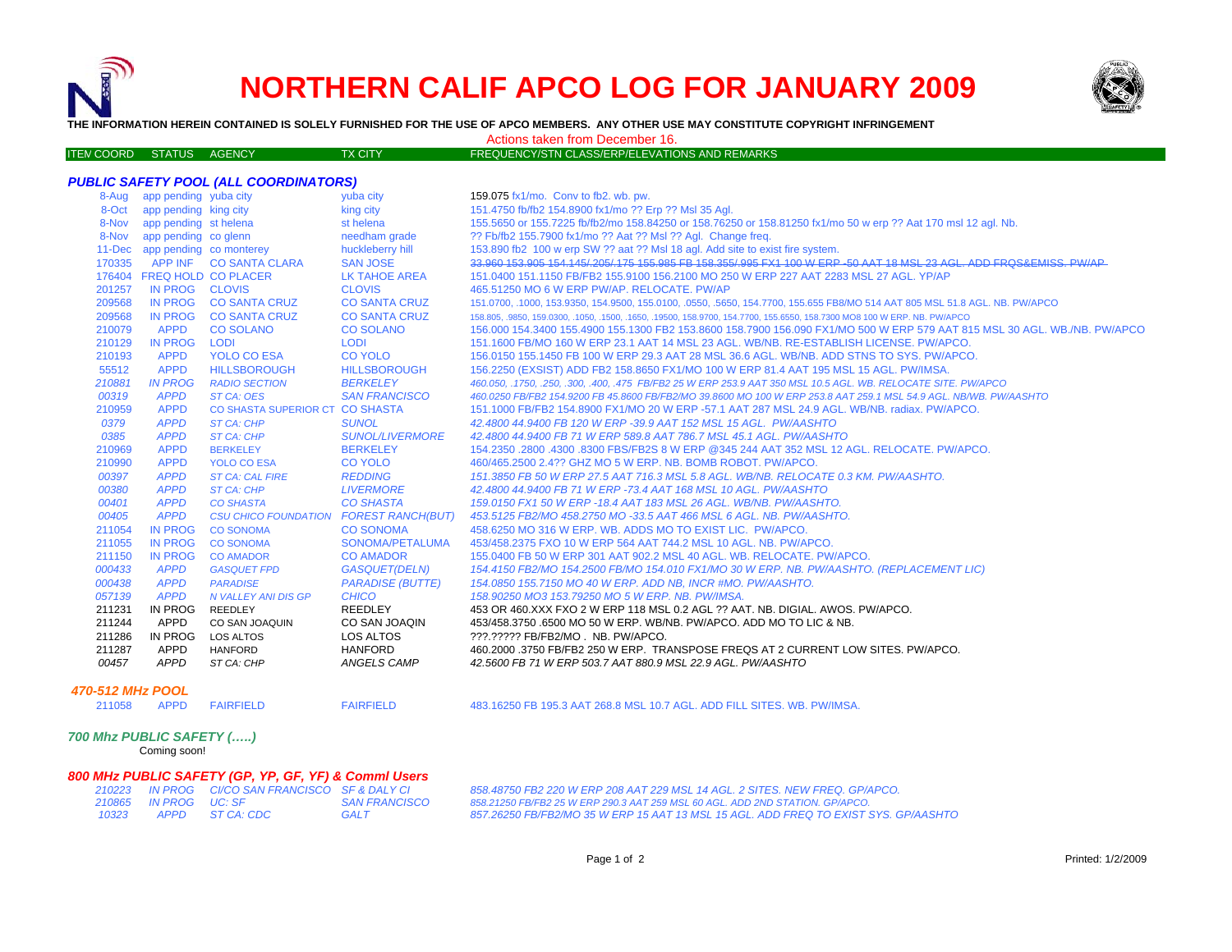



**THE INFORMATION HEREIN CONTAINED IS SOLELY FURNISHED FOR THE USE OF APCO MEMBERS. ANY OTHER USE MAY CONSTITUTE COPYRIGHT INFRINGEMENT**

MCOORD STATUS AGENCY TX CITY FREQUENCY/STN CLASS/ERP/ELEVATIONS AND REMARKS Actions taken from December 16.

|        | 8-Aug app pending yuba city    |                                        | yuba city               | 159.075 fx1/mo. Conv to fb2. wb. pw.                                                                                        |
|--------|--------------------------------|----------------------------------------|-------------------------|-----------------------------------------------------------------------------------------------------------------------------|
|        | 8-Oct app pending king city    |                                        | king city               | 151.4750 fb/fb2 154.8900 fx1/mo ?? Erp ?? Msl 35 Aql.                                                                       |
|        | 8-Nov app pending st helena    |                                        | st helena               | 155.5650 or 155.7225 fb/fb2/mo 158.84250 or 158.76250 or 158.81250 fx1/mo 50 w erp ?? Aat 170 msl 12 agl. Nb.               |
|        | 8-Nov app pending co glenn     |                                        | needham grade           | ?? Fb/fb2 155.7900 fx1/mo ?? Aat ?? Msl ?? Agl. Change freq.                                                                |
|        | 11-Dec app pending co monterey |                                        | huckleberry hill        | 153.890 fb2 100 w erp SW ?? aat ?? MsI 18 agl. Add site to exist fire system.                                               |
| 170335 |                                | APP INF CO SANTA CLARA                 | <b>SAN JOSE</b>         | 33.960 153.905 154.145/205/175 155.985 FB 158.355/995 FX1 100 W ERP -50 AAT 18 MSL 23 AGL. ADD FRQS&EMISS, PW/AP            |
|        | 176404 FREQ HOLD CO PLACER     |                                        | <b>LK TAHOE AREA</b>    | 151,0400 151,1150 FB/FB2 155,9100 156,2100 MO 250 W ERP 227 AAT 2283 MSL 27 AGL, YP/AP                                      |
| 201257 | IN PROG CLOVIS                 |                                        | <b>CLOVIS</b>           | 465.51250 MO 6 W ERP PW/AP. RELOCATE. PW/AP                                                                                 |
| 209568 |                                | IN PROG CO SANTA CRUZ                  | <b>CO SANTA CRUZ</b>    | 151.0700, .1000, 153.9350, 154.9500, 155.0100, .0550, .5650, 154.7700, 155.655 FB8/MO 514 AAT 805 MSL 51.8 AGL. NB. PW/APCO |
| 209568 |                                | IN PROG CO SANTA CRUZ                  | <b>CO SANTA CRUZ</b>    | 158.805, .9850, 159.0300, .1050, .1500, .1650, .19500, 158.9700, 154.7700, 155.6550, 158.7300 MO8 100 W ERP. NB. PW/APCO    |
| 210079 | APPD                           | <b>CO SOLANO</b>                       | <b>CO SOLANO</b>        | 156,000 154,3400 155,4900 155,1300 FB2 153,8600 158,7900 156,090 FX1/MO 500 W ERP 579 AAT 815 MSL 30 AGL, WB./NB, PW/APCC   |
| 210129 | IN PROG LODI                   |                                        | <b>LODI</b>             | 151.1600 FB/MO 160 W ERP 23.1 AAT 14 MSL 23 AGL, WB/NB, RE-ESTABLISH LICENSE, PW/APCO,                                      |
| 210193 | <b>APPD</b>                    | YOLO CO ESA                            | <b>CO YOLO</b>          | 156,0150 155,1450 FB 100 W ERP 29.3 AAT 28 MSL 36.6 AGL, WB/NB, ADD STNS TO SYS, PW/APCO,                                   |
| 55512  | <b>APPD</b>                    | <b>HILLSBOROUGH</b>                    | <b>HILLSBOROUGH</b>     | 156.2250 (EXSIST) ADD FB2 158.8650 FX1/MO 100 W ERP 81.4 AAT 195 MSL 15 AGL. PW/IMSA.                                       |
| 210881 | <b>IN PROG</b>                 | <b>RADIO SECTION</b>                   | <b>BERKELEY</b>         | 460.050, .1750, .250, .300, .400, .475 FB/FB2 25 W ERP 253.9 AAT 350 MSL 10.5 AGL. WB. RELOCATE SITE. PW/APCO               |
| 00319  | <b>APPD</b>                    | ST CA: OES                             | <b>SAN FRANCISCO</b>    | 460.0250 FB/FB2 154.9200 FB 45.8600 FB/FB2/MO 39.8600 MO 100 W ERP 253.8 AAT 259.1 MSL 54.9 AGL. NB/WB. PW/AASHTO           |
| 210959 | <b>APPD</b>                    | CO SHASTA SUPERIOR CT CO SHASTA        |                         | 151.1000 FB/FB2 154.8900 FX1/MO 20 W ERP -57.1 AAT 287 MSL 24.9 AGL, WB/NB, radiax, PW/APCO,                                |
| 0379   | <b>APPD</b>                    | <b>ST CA: CHP</b>                      | <b>SUNOL</b>            | 42.4800 44.9400 FB 120 W ERP -39.9 AAT 152 MSL 15 AGL. PW/AASHTO                                                            |
| 0385   | <b>APPD</b>                    | <b>ST CA: CHP</b>                      | <b>SUNOL/LIVERMORE</b>  | 42.4800 44.9400 FB 71 W ERP 589.8 AAT 786.7 MSL 45.1 AGL, PW/AASHTO                                                         |
| 210969 | <b>APPD</b>                    | <b>BERKELEY</b>                        | <b>BERKELEY</b>         | 154.2350 .2800 .4300 .8300 FBS/FB2S 8 W ERP @345 244 AAT 352 MSL 12 AGL. RELOCATE. PW/APCO.                                 |
| 210990 | <b>APPD</b>                    | <b>YOLO CO ESA</b>                     | <b>CO YOLO</b>          | 460/465.2500 2.4?? GHZ MO 5 W ERP, NB, BOMB ROBOT, PW/APCO,                                                                 |
| 00397  | <b>APPD</b>                    | <b>ST CA: CAL FIRE</b>                 | <b>REDDING</b>          | 151.3850 FB 50 W ERP 27.5 AAT 716.3 MSL 5.8 AGL, WB/NB, RELOCATE 0.3 KM, PW/AASHTO,                                         |
| 00380  | <b>APPD</b>                    | <b>ST CA: CHP</b>                      | <b>LIVERMORE</b>        | 42.4800 44.9400 FB 71 W ERP -73.4 AAT 168 MSL 10 AGL, PW/AASHTO                                                             |
| 00401  | <b>APPD</b>                    | <b>CO SHASTA</b>                       | <b>CO SHASTA</b>        | 159.0150 FX1 50 W ERP -18.4 AAT 183 MSL 26 AGL, WB/NB, PW/AASHTO,                                                           |
| 00405  | <b>APPD</b>                    | CSU CHICO FOUNDATION FOREST RANCH(BUT) |                         | 453.5125 FB2/MO 458.2750 MO -33.5 AAT 466 MSL 6 AGL, NB, PW/AASHTO.                                                         |
| 211054 | <b>IN PROG</b>                 | <b>CO SONOMA</b>                       | <b>CO SONOMA</b>        | 458,6250 MO 316 W ERP, WB, ADDS MO TO EXIST LIC. PW/APCO.                                                                   |
| 211055 | <b>IN PROG</b>                 | <b>CO SONOMA</b>                       | SONOMA/PETALUMA         | 453/458.2375 FXO 10 W ERP 564 AAT 744.2 MSL 10 AGL. NB. PW/APCO.                                                            |
| 211150 | <b>IN PROG</b>                 | <b>CO AMADOR</b>                       | <b>CO AMADOR</b>        | 155.0400 FB 50 W ERP 301 AAT 902.2 MSL 40 AGL. WB. RELOCATE. PW/APCO.                                                       |
| 000433 | <b>APPD</b>                    | <b>GASQUET FPD</b>                     | <b>GASQUET(DELN)</b>    | 154.4150 FB2/MO 154.2500 FB/MO 154.010 FX1/MO 30 W ERP. NB. PW/AASHTO. (REPLACEMENT LIC)                                    |
| 000438 | <b>APPD</b>                    | <b>PARADISE</b>                        | <b>PARADISE (BUTTE)</b> | 154.0850 155.7150 MO 40 W ERP. ADD NB. INCR #MO. PW/AASHTO.                                                                 |
| 057139 | <b>APPD</b>                    | N VALLEY ANI DIS GP                    | <b>CHICO</b>            | 158.90250 MO3 153.79250 MO 5 W ERP. NB. PW/IMSA.                                                                            |
| 211231 | IN PROG                        | REEDLEY                                | <b>REEDLEY</b>          | 453 OR 460 XXX FXO 2 W ERP 118 MSL 0.2 AGL ?? AAT. NB. DIGIAL. AWOS. PW/APCO.                                               |
| 211244 | APPD                           | CO SAN JOAQUIN                         | CO SAN JOAQIN           | 453/458.3750 6500 MO 50 W ERP. WB/NB, PW/APCO, ADD MO TO LIC & NB.                                                          |
| 211286 | IN PROG                        | LOS ALTOS                              | LOS ALTOS               | ???.????? FB/FB2/MO . NB. PW/APCO.                                                                                          |
| 211287 | APPD                           | <b>HANFORD</b>                         | <b>HANFORD</b>          | 460.2000 .3750 FB/FB2 250 W ERP. TRANSPOSE FREQS AT 2 CURRENT LOW SITES. PW/APCO.                                           |
| 00457  | APPD                           | ST CA: CHP                             | ANGELS CAMP             | 42.5600 FB 71 W ERP 503.7 AAT 880.9 MSL 22.9 AGL. PW/AASHTO                                                                 |

## *470-512 MHz POOL*

211058 APPD FAIRFIELD

211058 APPD FAIRFIELD FAIRFIELD 483.16250 FB 195.3 AAT 268.8 MSL 10.7 AGL. ADD FILL SITES. WB. PW/IMSA.

## *700 Mhz PUBLIC SAFETY (…..)*

ITEM COORD STATUS AGENCY

Coming soon!

## *800 MHz PUBLIC SAFETY (GP, YP, GF, YF) & Comml Users*

|       |                       | 210223 IN PROG CI/CO SAN FRANCISCO SF & DALY CI |                      |
|-------|-----------------------|-------------------------------------------------|----------------------|
|       | 210865 IN PROG UC: SF |                                                 | <b>SAN FRANCISCO</b> |
| 10323 |                       | APPD ST CA: CDC                                 | <b>GALT</b>          |

*210223 IN PROG CI/CO SAN FRANCISCO SF & DALY CI 858.48750 FB2 220 W ERP 208 AAT 229 MSL 14 AGL. 2 SITES. NEW FREQ. GP/APCO. 858.21250 FB/FB2 25 W ERP 290.3 AAT 259 MSL 60 AGL. ADD 2ND STATION. GP/APCO. 857.26250 FB/FB2/MO 35 W ERP 15 AAT 13 MSL 15 AGL. ADD FREQ TO EXIST SYS. GP/AASHTO*